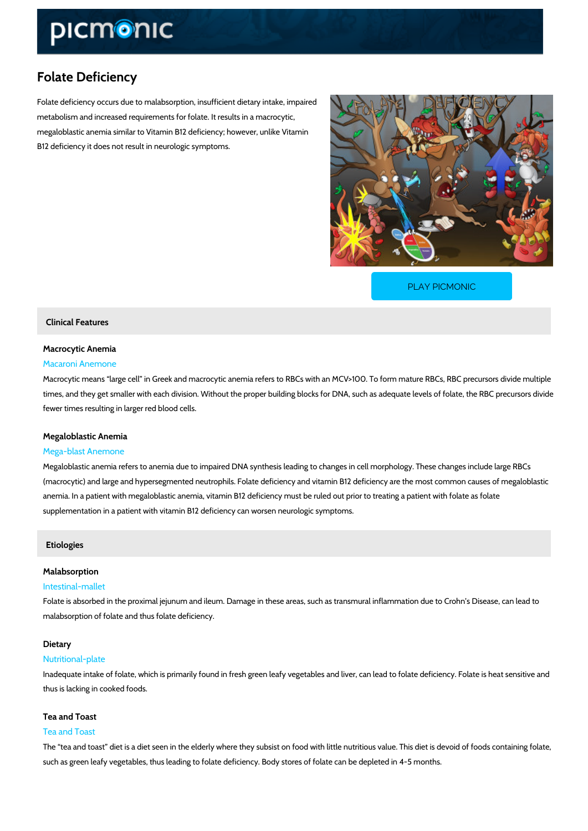# Folate Deficiency

Folate deficiency occurs due to malabsorption, insufficient dietary intake, impaired metabolism and increased requirements for folate. It results in a macrocytic, megaloblastic anemia similar to Vitamin B12 deficiency; however, unlike Vitamin B12 deficiency it does not result in neurologic symptoms.

[PLAY PICMONIC](https://www.picmonic.com/learn/folate-deficiency_1247?utm_source=downloadable_content&utm_medium=distributedcontent&utm_campaign=pathways_pdf&utm_content=Folate Deficiency&utm_ad_group=leads&utm_market=all)

# Clinical Features

# Macrocytic Anemia

### Macaroni Anemone

Macrocytic means large cell in Greek and macrocytic anemia refers to RBCs with an MCV>10 times, and they get smaller with each division. Without the proper building blocks for DNA, su fewer times resulting in larger red blood cells.

#### Megaloblastic Anemia

#### Mega-blast Anemone

Megaloblastic anemia refers to anemia due to impaired DNA synthesis leading to changes in c (macrocytic) and large and hypersegmented neutrophils. Folate deficiency and vitamin B12 de anemia. In a patient with megaloblastic anemia, vitamin B12 deficiency must be ruled out prio supplementation in a patient with vitamin B12 deficiency can worsen neurologic symptoms.

#### Etiologies

#### Malabsorption

#### Intestinal-mallet

Folate is absorbed in the proximal jejunum and ileum. Damage in these areas, such as transm malabsorption of folate and thus folate deficiency.

#### Dietary

#### Nutritional-plate

Inadequate intake of folate, which is primarily found in fresh green leafy vegetables and liver thus is lacking in cooked foods.

#### Tea and Toast

#### Tea and Toast

The tea and toast diet is a diet seen in the elderly where they subsist on food with little nut such as green leafy vegetables, thus leading to folate deficiency. Body stores of folate can be